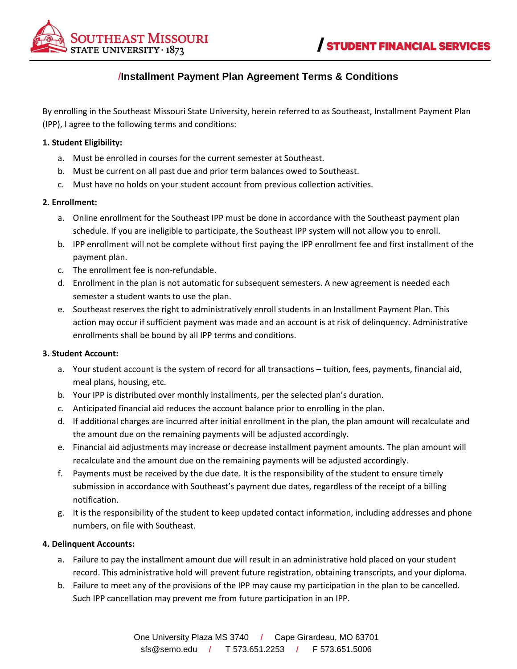

# /**Installment Payment Plan Agreement Terms & Conditions**

By enrolling in the Southeast Missouri State University, herein referred to as Southeast, Installment Payment Plan (IPP), I agree to the following terms and conditions:

#### **1. Student Eligibility:**

- a. Must be enrolled in courses for the current semester at Southeast.
- b. Must be current on all past due and prior term balances owed to Southeast.
- c. Must have no holds on your student account from previous collection activities.

### **2. Enrollment:**

- a. Online enrollment for the Southeast IPP must be done in accordance with the Southeast payment plan schedule. If you are ineligible to participate, the Southeast IPP system will not allow you to enroll.
- b. IPP enrollment will not be complete without first paying the IPP enrollment fee and first installment of the payment plan.
- c. The enrollment fee is non-refundable.
- d. Enrollment in the plan is not automatic for subsequent semesters. A new agreement is needed each semester a student wants to use the plan.
- e. Southeast reserves the right to administratively enroll students in an Installment Payment Plan. This action may occur if sufficient payment was made and an account is at risk of delinquency. Administrative enrollments shall be bound by all IPP terms and conditions.

#### **3. Student Account:**

- a. Your student account is the system of record for all transactions tuition, fees, payments, financial aid, meal plans, housing, etc.
- b. Your IPP is distributed over monthly installments, per the selected plan's duration.
- c. Anticipated financial aid reduces the account balance prior to enrolling in the plan.
- d. If additional charges are incurred after initial enrollment in the plan, the plan amount will recalculate and the amount due on the remaining payments will be adjusted accordingly.
- e. Financial aid adjustments may increase or decrease installment payment amounts. The plan amount will recalculate and the amount due on the remaining payments will be adjusted accordingly.
- f. Payments must be received by the due date. It is the responsibility of the student to ensure timely submission in accordance with Southeast's payment due dates, regardless of the receipt of a billing notification.
- g. It is the responsibility of the student to keep updated contact information, including addresses and phone numbers, on file with Southeast.

#### **4. Delinquent Accounts:**

- a. Failure to pay the installment amount due will result in an administrative hold placed on your student record. This administrative hold will prevent future registration, obtaining transcripts, and your diploma.
- b. Failure to meet any of the provisions of the IPP may cause my participation in the plan to be cancelled. Such IPP cancellation may prevent me from future participation in an IPP.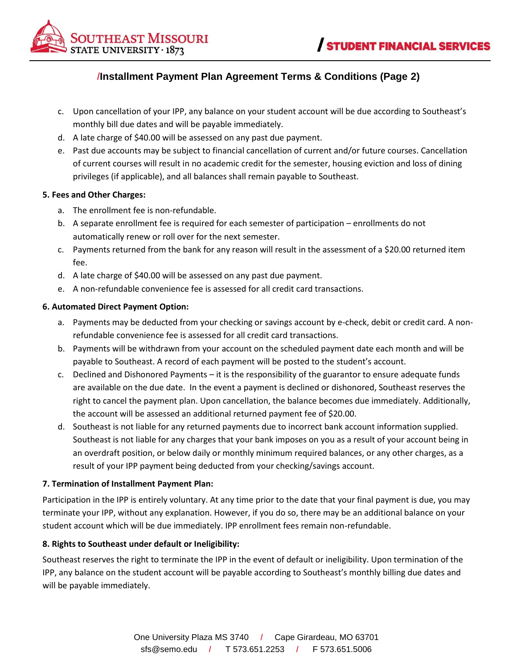

# /**Installment Payment Plan Agreement Terms & Conditions (Page 2)**

- c. Upon cancellation of your IPP, any balance on your student account will be due according to Southeast's monthly bill due dates and will be payable immediately.
- d. A late charge of \$40.00 will be assessed on any past due payment.
- e. Past due accounts may be subject to financial cancellation of current and/or future courses. Cancellation of current courses will result in no academic credit for the semester, housing eviction and loss of dining privileges (if applicable), and all balances shall remain payable to Southeast.

### **5. Fees and Other Charges:**

- a. The enrollment fee is non-refundable.
- b. A separate enrollment fee is required for each semester of participation enrollments do not automatically renew or roll over for the next semester.
- c. Payments returned from the bank for any reason will result in the assessment of a \$20.00 returned item fee.
- d. A late charge of \$40.00 will be assessed on any past due payment.
- e. A non-refundable convenience fee is assessed for all credit card transactions.

### **6. Automated Direct Payment Option:**

- a. Payments may be deducted from your checking or savings account by e-check, debit or credit card. A nonrefundable convenience fee is assessed for all credit card transactions.
- b. Payments will be withdrawn from your account on the scheduled payment date each month and will be payable to Southeast. A record of each payment will be posted to the student's account.
- c. Declined and Dishonored Payments it is the responsibility of the guarantor to ensure adequate funds are available on the due date. In the event a payment is declined or dishonored, Southeast reserves the right to cancel the payment plan. Upon cancellation, the balance becomes due immediately. Additionally, the account will be assessed an additional returned payment fee of \$20.00.
- d. Southeast is not liable for any returned payments due to incorrect bank account information supplied. Southeast is not liable for any charges that your bank imposes on you as a result of your account being in an overdraft position, or below daily or monthly minimum required balances, or any other charges, as a result of your IPP payment being deducted from your checking/savings account.

## **7. Termination of Installment Payment Plan:**

Participation in the IPP is entirely voluntary. At any time prior to the date that your final payment is due, you may terminate your IPP, without any explanation. However, if you do so, there may be an additional balance on your student account which will be due immediately. IPP enrollment fees remain non-refundable.

## **8. Rights to Southeast under default or Ineligibility:**

Southeast reserves the right to terminate the IPP in the event of default or ineligibility. Upon termination of the IPP, any balance on the student account will be payable according to Southeast's monthly billing due dates and will be payable immediately.